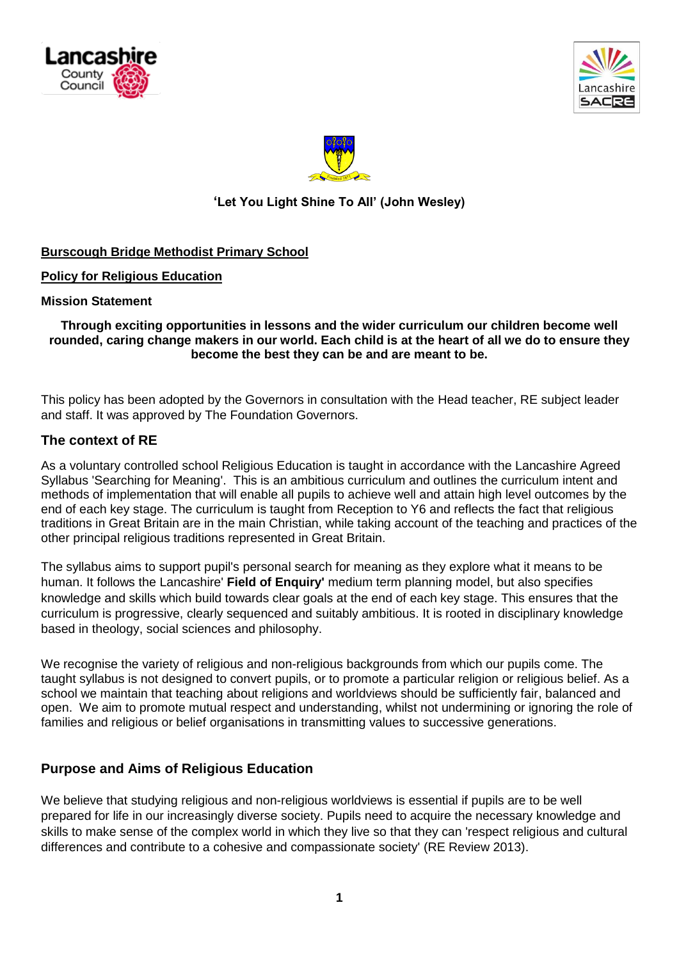





# **'Let You Light Shine To All' (John Wesley)**

# **Burscough Bridge Methodist Primary School**

### **Policy for Religious Education**

#### **Mission Statement**

### **Through exciting opportunities in lessons and the wider curriculum our children become well rounded, caring change makers in our world. Each child is at the heart of all we do to ensure they become the best they can be and are meant to be.**

This policy has been adopted by the Governors in consultation with the Head teacher, RE subject leader and staff. It was approved by The Foundation Governors.

## **The context of RE**

As a voluntary controlled school Religious Education is taught in accordance with the Lancashire Agreed Syllabus 'Searching for Meaning'. This is an ambitious curriculum and outlines the curriculum intent and methods of implementation that will enable all pupils to achieve well and attain high level outcomes by the end of each key stage. The curriculum is taught from Reception to Y6 and reflects the fact that religious traditions in Great Britain are in the main Christian, while taking account of the teaching and practices of the other principal religious traditions represented in Great Britain.

The syllabus aims to support pupil's personal search for meaning as they explore what it means to be human. It follows the Lancashire' **Field of Enquiry'** medium term planning model, but also specifies knowledge and skills which build towards clear goals at the end of each key stage. This ensures that the curriculum is progressive, clearly sequenced and suitably ambitious. It is rooted in disciplinary knowledge based in theology, social sciences and philosophy.

We recognise the variety of religious and non-religious backgrounds from which our pupils come. The taught syllabus is not designed to convert pupils, or to promote a particular religion or religious belief. As a school we maintain that teaching about religions and worldviews should be sufficiently fair, balanced and open. We aim to promote mutual respect and understanding, whilst not undermining or ignoring the role of families and religious or belief organisations in transmitting values to successive generations.

# **Purpose and Aims of Religious Education**

We believe that studying religious and non-religious worldviews is essential if pupils are to be well prepared for life in our increasingly diverse society. Pupils need to acquire the necessary knowledge and skills to make sense of the complex world in which they live so that they can 'respect religious and cultural differences and contribute to a cohesive and compassionate society' (RE Review 2013).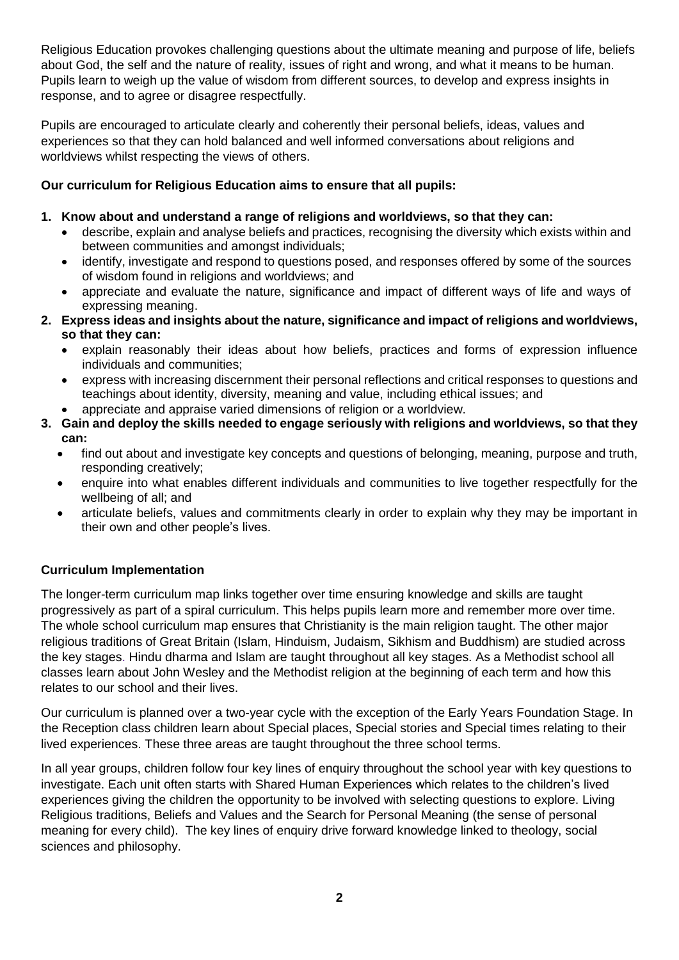Religious Education provokes challenging questions about the ultimate meaning and purpose of life, beliefs about God, the self and the nature of reality, issues of right and wrong, and what it means to be human. Pupils learn to weigh up the value of wisdom from different sources, to develop and express insights in response, and to agree or disagree respectfully.

Pupils are encouraged to articulate clearly and coherently their personal beliefs, ideas, values and experiences so that they can hold balanced and well informed conversations about religions and worldviews whilst respecting the views of others.

# **Our curriculum for Religious Education aims to ensure that all pupils:**

# **1. Know about and understand a range of religions and worldviews, so that they can:**

- describe, explain and analyse beliefs and practices, recognising the diversity which exists within and between communities and amongst individuals;
- identify, investigate and respond to questions posed, and responses offered by some of the sources of wisdom found in religions and worldviews; and
- appreciate and evaluate the nature, significance and impact of different ways of life and ways of expressing meaning.
- **2. Express ideas and insights about the nature, significance and impact of religions and worldviews, so that they can:**
	- explain reasonably their ideas about how beliefs, practices and forms of expression influence individuals and communities;
	- express with increasing discernment their personal reflections and critical responses to questions and teachings about identity, diversity, meaning and value, including ethical issues; and
	- appreciate and appraise varied dimensions of religion or a worldview.
- **3. Gain and deploy the skills needed to engage seriously with religions and worldviews, so that they can:**
	- find out about and investigate key concepts and questions of belonging, meaning, purpose and truth, responding creatively;
	- enquire into what enables different individuals and communities to live together respectfully for the wellbeing of all; and
	- articulate beliefs, values and commitments clearly in order to explain why they may be important in their own and other people's lives.

# **Curriculum Implementation**

The longer-term curriculum map links together over time ensuring knowledge and skills are taught progressively as part of a spiral curriculum. This helps pupils learn more and remember more over time. The whole school curriculum map ensures that Christianity is the main religion taught. The other major religious traditions of Great Britain (Islam, Hinduism, Judaism, Sikhism and Buddhism) are studied across the key stages. Hindu dharma and Islam are taught throughout all key stages. As a Methodist school all classes learn about John Wesley and the Methodist religion at the beginning of each term and how this relates to our school and their lives.

Our curriculum is planned over a two-year cycle with the exception of the Early Years Foundation Stage. In the Reception class children learn about Special places, Special stories and Special times relating to their lived experiences. These three areas are taught throughout the three school terms.

In all year groups, children follow four key lines of enquiry throughout the school year with key questions to investigate. Each unit often starts with Shared Human Experiences which relates to the children's lived experiences giving the children the opportunity to be involved with selecting questions to explore. Living Religious traditions, Beliefs and Values and the Search for Personal Meaning (the sense of personal meaning for every child). The key lines of enquiry drive forward knowledge linked to theology, social sciences and philosophy.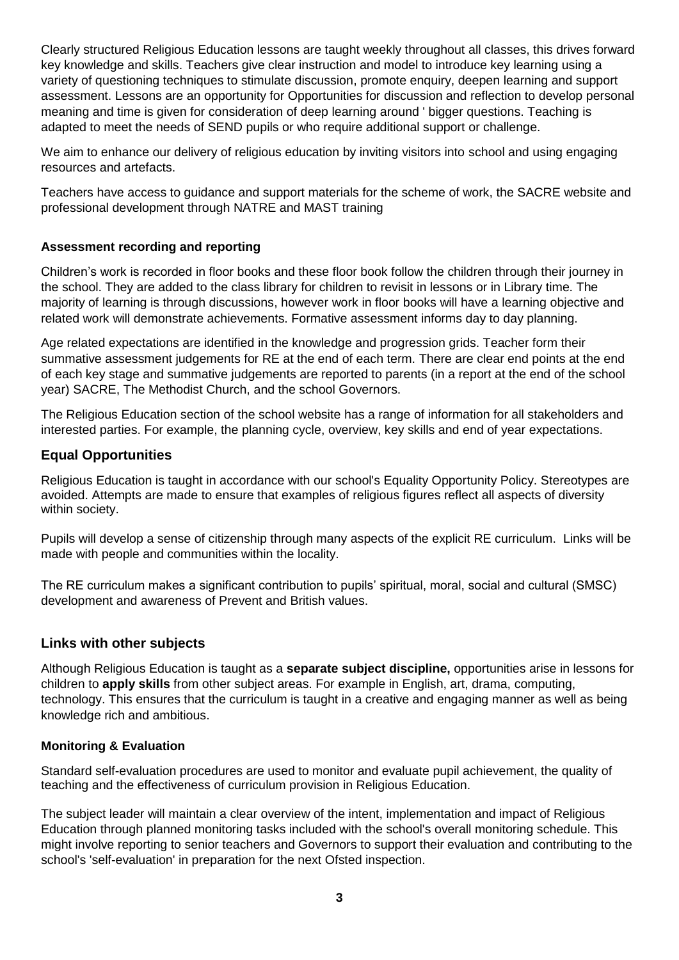Clearly structured Religious Education lessons are taught weekly throughout all classes, this drives forward key knowledge and skills. Teachers give clear instruction and model to introduce key learning using a variety of questioning techniques to stimulate discussion, promote enquiry, deepen learning and support assessment. Lessons are an opportunity for Opportunities for discussion and reflection to develop personal meaning and time is given for consideration of deep learning around ' bigger questions. Teaching is adapted to meet the needs of SEND pupils or who require additional support or challenge.

We aim to enhance our delivery of religious education by inviting visitors into school and using engaging resources and artefacts.

Teachers have access to guidance and support materials for the scheme of work, the SACRE website and professional development through NATRE and MAST training

## **Assessment recording and reporting**

Children's work is recorded in floor books and these floor book follow the children through their journey in the school. They are added to the class library for children to revisit in lessons or in Library time. The majority of learning is through discussions, however work in floor books will have a learning objective and related work will demonstrate achievements. Formative assessment informs day to day planning.

Age related expectations are identified in the knowledge and progression grids. Teacher form their summative assessment judgements for RE at the end of each term. There are clear end points at the end of each key stage and summative judgements are reported to parents (in a report at the end of the school year) SACRE, The Methodist Church, and the school Governors.

The Religious Education section of the school website has a range of information for all stakeholders and interested parties. For example, the planning cycle, overview, key skills and end of year expectations.

# **Equal Opportunities**

Religious Education is taught in accordance with our school's Equality Opportunity Policy. Stereotypes are avoided. Attempts are made to ensure that examples of religious figures reflect all aspects of diversity within society.

Pupils will develop a sense of citizenship through many aspects of the explicit RE curriculum. Links will be made with people and communities within the locality.

The RE curriculum makes a significant contribution to pupils' spiritual, moral, social and cultural (SMSC) development and awareness of Prevent and British values.

# **Links with other subjects**

Although Religious Education is taught as a **separate subject discipline,** opportunities arise in lessons for children to **apply skills** from other subject areas. For example in English, art, drama, computing, technology. This ensures that the curriculum is taught in a creative and engaging manner as well as being knowledge rich and ambitious.

### **Monitoring & Evaluation**

Standard self-evaluation procedures are used to monitor and evaluate pupil achievement, the quality of teaching and the effectiveness of curriculum provision in Religious Education.

The subject leader will maintain a clear overview of the intent, implementation and impact of Religious Education through planned monitoring tasks included with the school's overall monitoring schedule. This might involve reporting to senior teachers and Governors to support their evaluation and contributing to the school's 'self-evaluation' in preparation for the next Ofsted inspection.